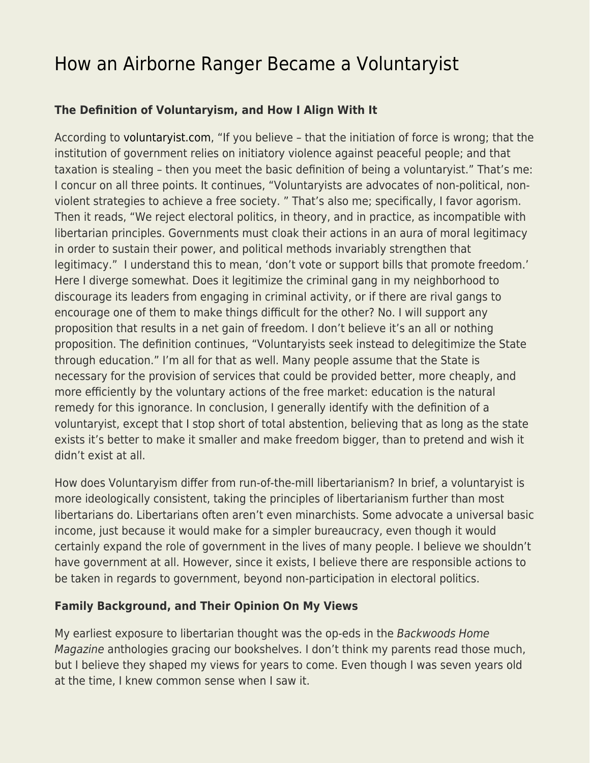# [How an Airborne Ranger Became a Voluntaryist](https://everything-voluntary.com/airborne-ranger-became-voluntaryist)

### **The Definition of Voluntaryism, and How I Align With It**

According to [voluntaryist.com,](http://voluntaryist.com/) "If you believe – that the initiation of force is wrong; that the institution of government relies on initiatory violence against peaceful people; and that taxation is stealing – then you meet the basic definition of being a voluntaryist." That's me: I concur on all three points. It continues, "Voluntaryists are advocates of non-political, nonviolent strategies to achieve a free society. " That's also me; specifically, I favor agorism. Then it reads, "We reject electoral politics, in theory, and in practice, as incompatible with libertarian principles. Governments must cloak their actions in an aura of moral legitimacy in order to sustain their power, and political methods invariably strengthen that legitimacy." I understand this to mean, 'don't vote or support bills that promote freedom.' Here I diverge somewhat. Does it legitimize the criminal gang in my neighborhood to discourage its leaders from engaging in criminal activity, or if there are rival gangs to encourage one of them to make things difficult for the other? No. I will support any proposition that results in a net gain of freedom. I don't believe it's an all or nothing proposition. The definition continues, "Voluntaryists seek instead to delegitimize the State through education." I'm all for that as well. Many people assume that the State is necessary for the provision of services that could be provided better, more cheaply, and more efficiently by the voluntary actions of the free market: education is the natural remedy for this ignorance. In conclusion, I generally identify with the definition of a voluntaryist, except that I stop short of total abstention, believing that as long as the state exists it's better to make it smaller and make freedom bigger, than to pretend and wish it didn't exist at all.

How does Voluntaryism differ from run-of-the-mill libertarianism? In brief, a voluntaryist is more ideologically consistent, taking the principles of libertarianism further than most libertarians do. Libertarians often aren't even minarchists. Some advocate a universal basic income, just because it would make for a simpler bureaucracy, even though it would certainly expand the role of government in the lives of many people. I believe we shouldn't have government at all. However, since it exists, I believe there are responsible actions to be taken in regards to government, beyond non-participation in electoral politics.

#### **Family Background, and Their Opinion On My Views**

My earliest exposure to libertarian thought was the op-eds in the Backwoods Home Magazine anthologies gracing our bookshelves. I don't think my parents read those much, but I believe they shaped my views for years to come. Even though I was seven years old at the time, I knew common sense when I saw it.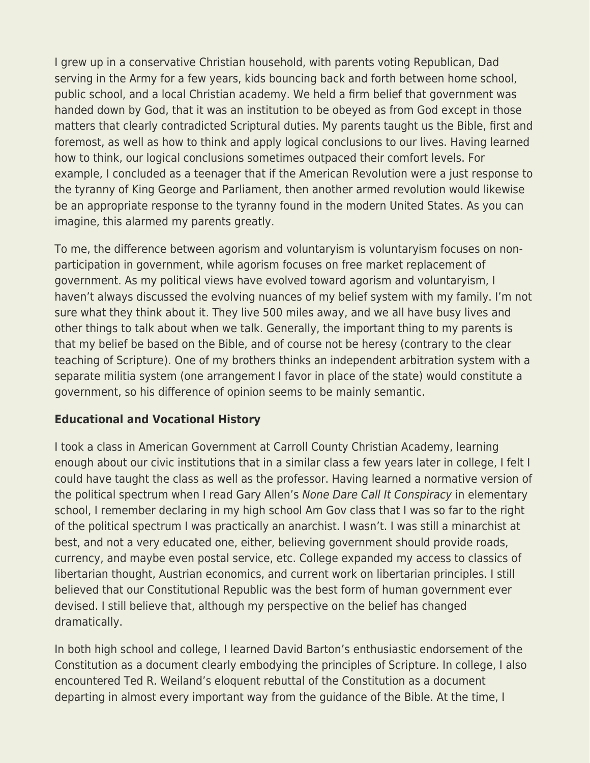I grew up in a conservative Christian household, with parents voting Republican, Dad serving in the Army for a few years, kids bouncing back and forth between home school, public school, and a local Christian academy. We held a firm belief that government was handed down by God, that it was an institution to be obeyed as from God except in those matters that clearly contradicted Scriptural duties. My parents taught us the Bible, first and foremost, as well as how to think and apply logical conclusions to our lives. Having learned how to think, our logical conclusions sometimes outpaced their comfort levels. For example, I concluded as a teenager that if the American Revolution were a just response to the tyranny of King George and Parliament, then another armed revolution would likewise be an appropriate response to the tyranny found in the modern United States. As you can imagine, this alarmed my parents greatly.

To me, the difference between agorism and voluntaryism is voluntaryism focuses on nonparticipation in government, while agorism focuses on free market replacement of government. As my political views have evolved toward agorism and voluntaryism, I haven't always discussed the evolving nuances of my belief system with my family. I'm not sure what they think about it. They live 500 miles away, and we all have busy lives and other things to talk about when we talk. Generally, the important thing to my parents is that my belief be based on the Bible, and of course not be heresy (contrary to the clear teaching of Scripture). One of my brothers thinks an independent arbitration system with a separate militia system (one arrangement I favor in place of the state) would constitute a government, so his difference of opinion seems to be mainly semantic.

#### **Educational and Vocational History**

I took a class in American Government at Carroll County Christian Academy, learning enough about our civic institutions that in a similar class a few years later in college, I felt I could have taught the class as well as the professor. Having learned a normative version of the political spectrum when I read Gary Allen's None Dare Call It Conspiracy in elementary school, I remember declaring in my high school Am Gov class that I was so far to the right of the political spectrum I was practically an anarchist. I wasn't. I was still a minarchist at best, and not a very educated one, either, believing government should provide roads, currency, and maybe even postal service, etc. College expanded my access to classics of libertarian thought, Austrian economics, and current work on libertarian principles. I still believed that our Constitutional Republic was the best form of human government ever devised. I still believe that, although my perspective on the belief has changed dramatically.

In both high school and college, I learned David Barton's enthusiastic endorsement of the Constitution as a document clearly embodying the principles of Scripture. In college, I also encountered Ted R. Weiland's eloquent rebuttal of the Constitution as a document departing in almost every important way from the guidance of the Bible. At the time, I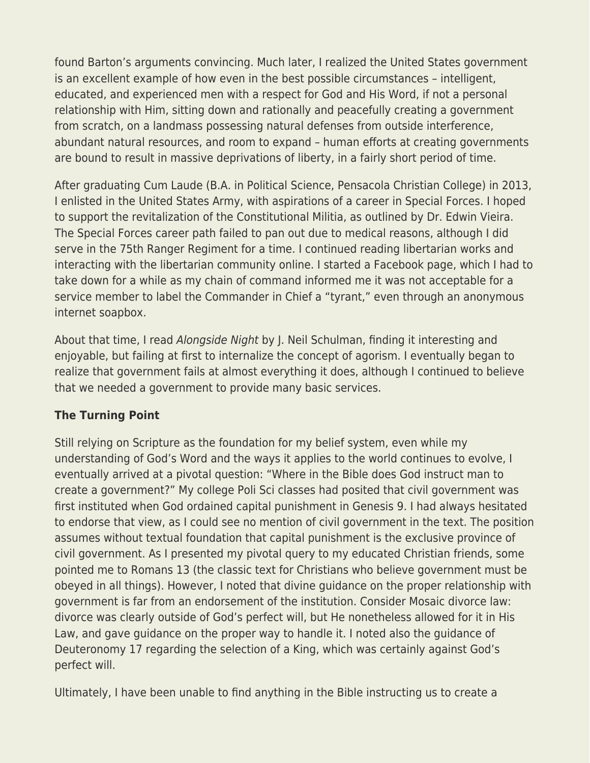found Barton's arguments convincing. Much later, I realized the United States government is an excellent example of how even in the best possible circumstances – intelligent, educated, and experienced men with a respect for God and His Word, if not a personal relationship with Him, sitting down and rationally and peacefully creating a government from scratch, on a landmass possessing natural defenses from outside interference, abundant natural resources, and room to expand – human efforts at creating governments are bound to result in massive deprivations of liberty, in a fairly short period of time.

After graduating Cum Laude (B.A. in Political Science, Pensacola Christian College) in 2013, I enlisted in the United States Army, with aspirations of a career in Special Forces. I hoped to support the revitalization of the Constitutional Militia, as outlined by Dr. Edwin Vieira. The Special Forces career path failed to pan out due to medical reasons, although I did serve in the 75th Ranger Regiment for a time. I continued reading libertarian works and interacting with the libertarian community online. I started a Facebook page, which I had to take down for a while as my chain of command informed me it was not acceptable for a service member to label the Commander in Chief a "tyrant," even through an anonymous internet soapbox.

About that time, I read Alongside Night by J. Neil Schulman, finding it interesting and enjoyable, but failing at first to internalize the concept of agorism. I eventually began to realize that government fails at almost everything it does, although I continued to believe that we needed a government to provide many basic services.

## **The Turning Point**

Still relying on Scripture as the foundation for my belief system, even while my understanding of God's Word and the ways it applies to the world continues to evolve, I eventually arrived at a pivotal question: "Where in the Bible does God instruct man to create a government?" My college Poli Sci classes had posited that civil government was first instituted when God ordained capital punishment in Genesis 9. I had always hesitated to endorse that view, as I could see no mention of civil government in the text. The position assumes without textual foundation that capital punishment is the exclusive province of civil government. As I presented my pivotal query to my educated Christian friends, some pointed me to Romans 13 (the classic text for Christians who believe government must be obeyed in all things). However, I noted that divine guidance on the proper relationship with government is far from an endorsement of the institution. Consider Mosaic divorce law: divorce was clearly outside of God's perfect will, but He nonetheless allowed for it in His Law, and gave guidance on the proper way to handle it. I noted also the guidance of Deuteronomy 17 regarding the selection of a King, which was certainly against God's perfect will.

Ultimately, I have been unable to find anything in the Bible instructing us to create a